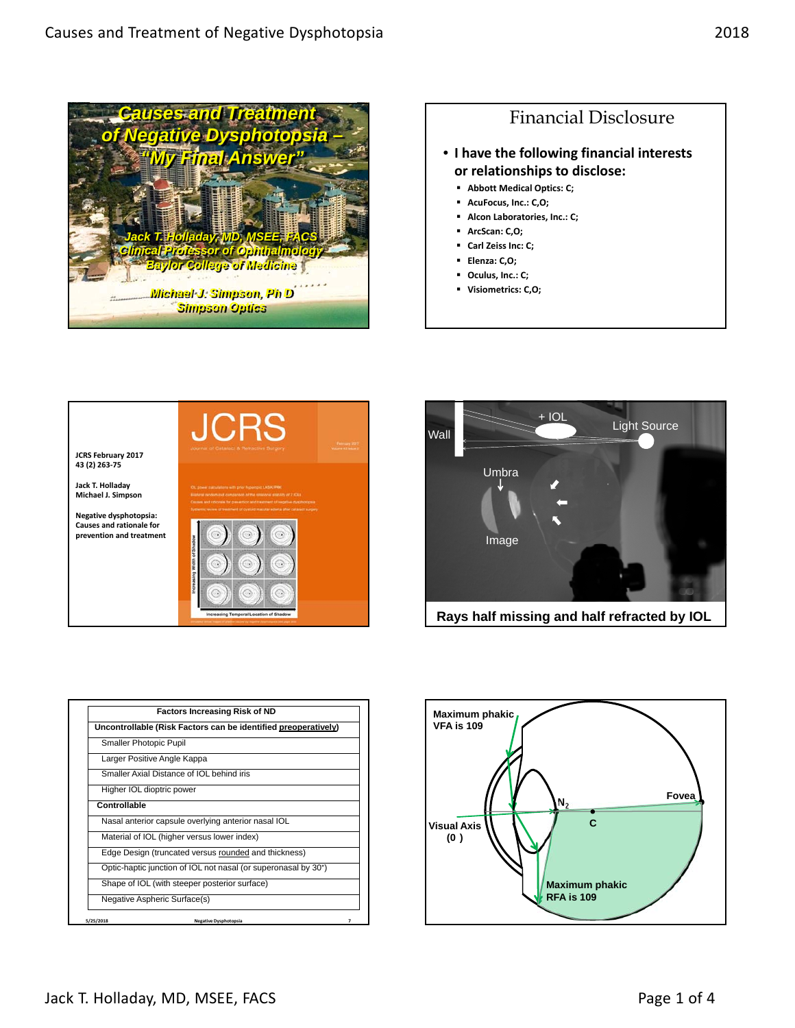







|              | Uncontrollable (Risk Factors can be identified preoperatively) |
|--------------|----------------------------------------------------------------|
|              |                                                                |
|              | <b>Smaller Photopic Pupil</b>                                  |
|              | Larger Positive Angle Kappa                                    |
|              | Smaller Axial Distance of IOL behind iris                      |
|              | Higher IOL dioptric power                                      |
| Controllable |                                                                |
|              | Nasal anterior capsule overlying anterior nasal IOL            |
|              | Material of IOL (higher versus lower index)                    |
|              | Edge Design (truncated versus rounded and thickness)           |
|              | Optic-haptic junction of IOL not nasal (or superonasal by 30°) |
|              | Shape of IOL (with steeper posterior surface)                  |
|              | Negative Aspheric Surface(s)                                   |

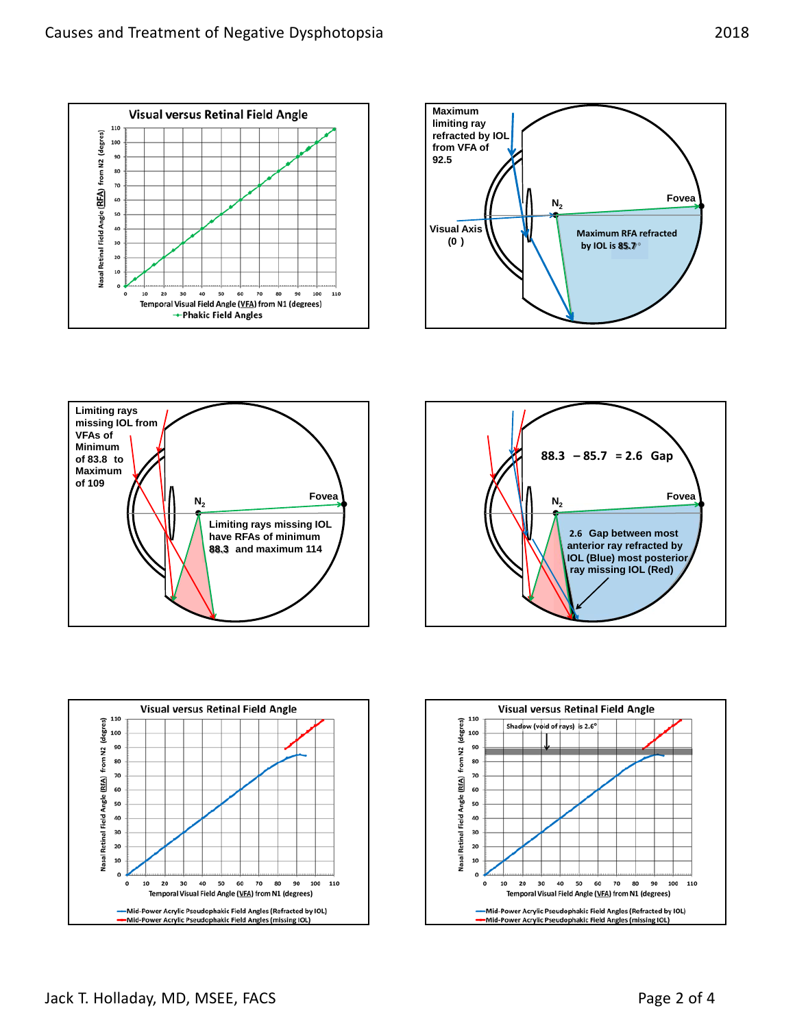









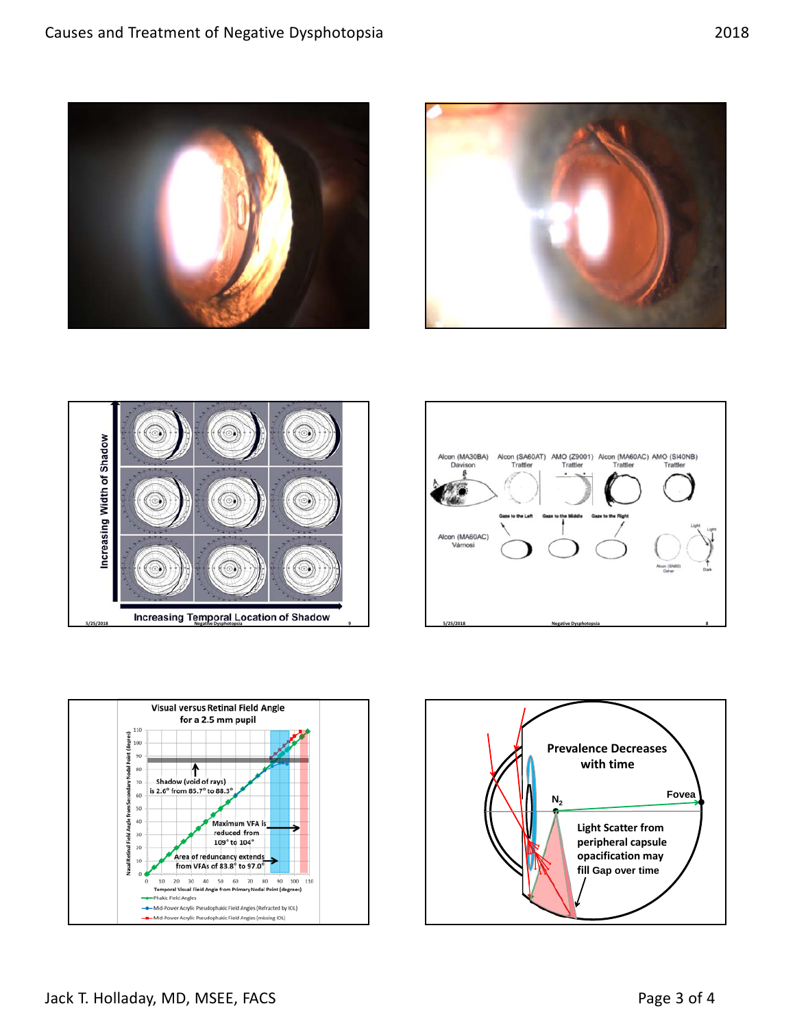